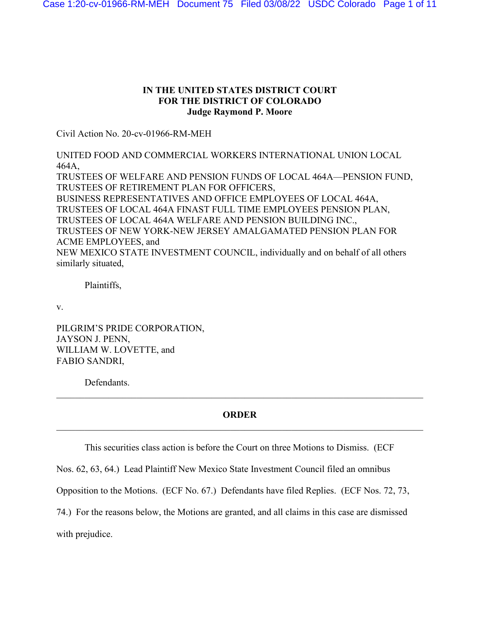# **IN THE UNITED STATES DISTRICT COURT FOR THE DISTRICT OF COLORADO Judge Raymond P. Moore**

Civil Action No. 20-cv-01966-RM-MEH

UNITED FOOD AND COMMERCIAL WORKERS INTERNATIONAL UNION LOCAL 464A, TRUSTEES OF WELFARE AND PENSION FUNDS OF LOCAL 464A—PENSION FUND, TRUSTEES OF RETIREMENT PLAN FOR OFFICERS, BUSINESS REPRESENTATIVES AND OFFICE EMPLOYEES OF LOCAL 464A, TRUSTEES OF LOCAL 464A FINAST FULL TIME EMPLOYEES PENSION PLAN, TRUSTEES OF LOCAL 464A WELFARE AND PENSION BUILDING INC., TRUSTEES OF NEW YORK-NEW JERSEY AMALGAMATED PENSION PLAN FOR ACME EMPLOYEES, and NEW MEXICO STATE INVESTMENT COUNCIL, individually and on behalf of all others similarly situated,

Plaintiffs,

v.

PILGRIM'S PRIDE CORPORATION, JAYSON J. PENN, WILLIAM W. LOVETTE, and FABIO SANDRI,

Defendants.

# **ORDER**  $\_$  , and the set of the set of the set of the set of the set of the set of the set of the set of the set of the set of the set of the set of the set of the set of the set of the set of the set of the set of the set of th

\_\_\_\_\_\_\_\_\_\_\_\_\_\_\_\_\_\_\_\_\_\_\_\_\_\_\_\_\_\_\_\_\_\_\_\_\_\_\_\_\_\_\_\_\_\_\_\_\_\_\_\_\_\_\_\_\_\_\_\_\_\_\_\_\_\_\_\_\_\_\_\_\_\_\_\_\_\_

This securities class action is before the Court on three Motions to Dismiss. (ECF

Nos. 62, 63, 64.) Lead Plaintiff New Mexico State Investment Council filed an omnibus

Opposition to the Motions. (ECF No. 67.) Defendants have filed Replies. (ECF Nos. 72, 73,

74.) For the reasons below, the Motions are granted, and all claims in this case are dismissed

with prejudice.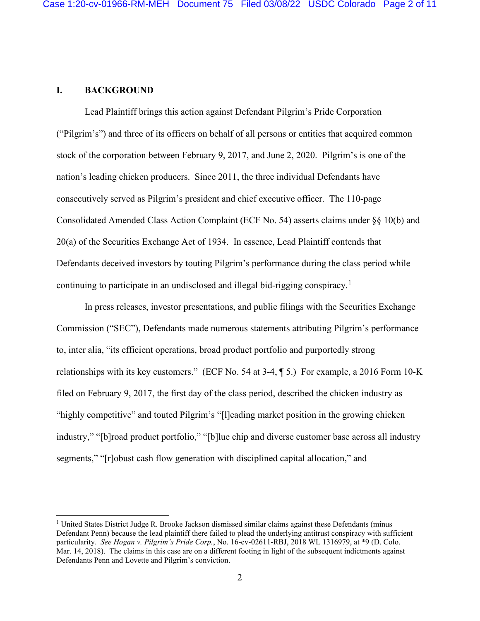## **I. BACKGROUND**

Lead Plaintiff brings this action against Defendant Pilgrim's Pride Corporation ("Pilgrim's") and three of its officers on behalf of all persons or entities that acquired common stock of the corporation between February 9, 2017, and June 2, 2020. Pilgrim's is one of the nation's leading chicken producers. Since 2011, the three individual Defendants have consecutively served as Pilgrim's president and chief executive officer. The 110-page Consolidated Amended Class Action Complaint (ECF No. 54) asserts claims under §§ 10(b) and 20(a) of the Securities Exchange Act of 1934. In essence, Lead Plaintiff contends that Defendants deceived investors by touting Pilgrim's performance during the class period while continuing to participate in an undisclosed and illegal bid-rigging conspiracy.<sup>1</sup>

In press releases, investor presentations, and public filings with the Securities Exchange Commission ("SEC"), Defendants made numerous statements attributing Pilgrim's performance to, inter alia, "its efficient operations, broad product portfolio and purportedly strong relationships with its key customers." (ECF No. 54 at 3-4, ¶ 5.) For example, a 2016 Form 10-K filed on February 9, 2017, the first day of the class period, described the chicken industry as "highly competitive" and touted Pilgrim's "[l]eading market position in the growing chicken industry," "[b]road product portfolio," "[b]lue chip and diverse customer base across all industry segments," "[r]obust cash flow generation with disciplined capital allocation," and

<sup>1</sup> United States District Judge R. Brooke Jackson dismissed similar claims against these Defendants (minus Defendant Penn) because the lead plaintiff there failed to plead the underlying antitrust conspiracy with sufficient particularity. *See Hogan v. Pilgrim's Pride Corp.*, No. 16-cv-02611-RBJ, 2018 WL 1316979, at \*9 (D. Colo. Mar. 14, 2018). The claims in this case are on a different footing in light of the subsequent indictments against Defendants Penn and Lovette and Pilgrim's conviction.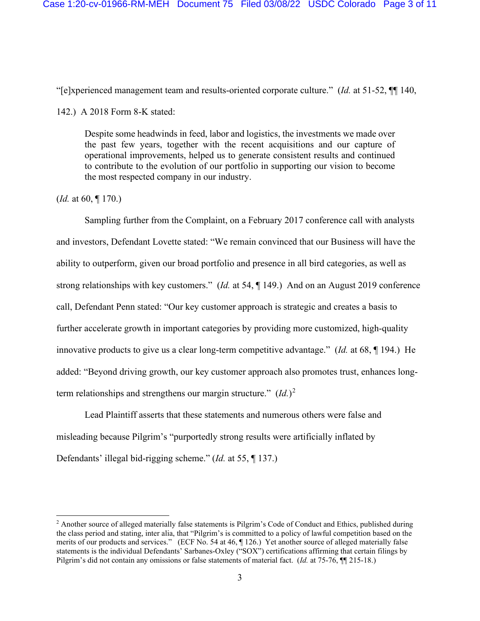"[e]xperienced management team and results-oriented corporate culture." (*Id.* at 51-52, ¶¶ 140,

142.) A 2018 Form 8-K stated:

Despite some headwinds in feed, labor and logistics, the investments we made over the past few years, together with the recent acquisitions and our capture of operational improvements, helped us to generate consistent results and continued to contribute to the evolution of our portfolio in supporting our vision to become the most respected company in our industry.

(*Id.* at 60, ¶ 170.)

Sampling further from the Complaint, on a February 2017 conference call with analysts and investors, Defendant Lovette stated: "We remain convinced that our Business will have the ability to outperform, given our broad portfolio and presence in all bird categories, as well as strong relationships with key customers." (*Id.* at 54, ¶ 149.) And on an August 2019 conference call, Defendant Penn stated: "Our key customer approach is strategic and creates a basis to further accelerate growth in important categories by providing more customized, high-quality innovative products to give us a clear long-term competitive advantage." (*Id.* at 68, ¶ 194.) He added: "Beyond driving growth, our key customer approach also promotes trust, enhances longterm relationships and strengthens our margin structure."  $(Id.)^2$ 

Lead Plaintiff asserts that these statements and numerous others were false and misleading because Pilgrim's "purportedly strong results were artificially inflated by Defendants' illegal bid-rigging scheme." (*Id.* at 55, ¶ 137.)

<sup>&</sup>lt;sup>2</sup> Another source of alleged materially false statements is Pilgrim's Code of Conduct and Ethics, published during the class period and stating, inter alia, that "Pilgrim's is committed to a policy of lawful competition based on the merits of our products and services." (ECF No. 54 at 46, ¶ 126.) Yet another source of alleged materially false statements is the individual Defendants' Sarbanes-Oxley ("SOX") certifications affirming that certain filings by Pilgrim's did not contain any omissions or false statements of material fact. (*Id.* at 75-76, ¶¶ 215-18.)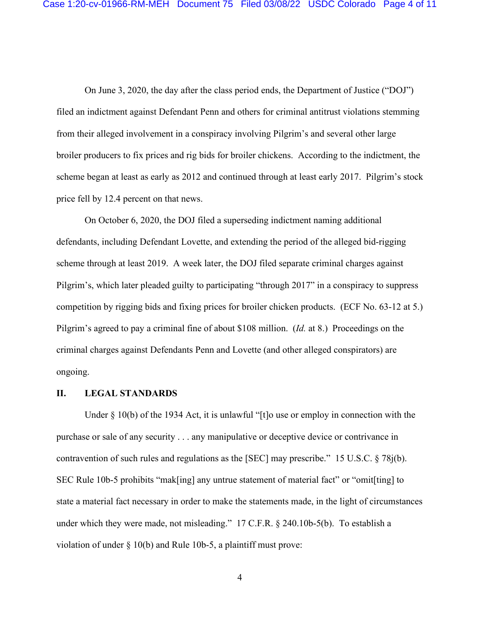On June 3, 2020, the day after the class period ends, the Department of Justice ("DOJ") filed an indictment against Defendant Penn and others for criminal antitrust violations stemming from their alleged involvement in a conspiracy involving Pilgrim's and several other large broiler producers to fix prices and rig bids for broiler chickens. According to the indictment, the scheme began at least as early as 2012 and continued through at least early 2017. Pilgrim's stock price fell by 12.4 percent on that news.

On October 6, 2020, the DOJ filed a superseding indictment naming additional defendants, including Defendant Lovette, and extending the period of the alleged bid-rigging scheme through at least 2019. A week later, the DOJ filed separate criminal charges against Pilgrim's, which later pleaded guilty to participating "through 2017" in a conspiracy to suppress competition by rigging bids and fixing prices for broiler chicken products. (ECF No. 63-12 at 5.) Pilgrim's agreed to pay a criminal fine of about \$108 million. (*Id.* at 8.) Proceedings on the criminal charges against Defendants Penn and Lovette (and other alleged conspirators) are ongoing.

#### **II. LEGAL STANDARDS**

Under  $\S$  10(b) of the 1934 Act, it is unlawful "[t]o use or employ in connection with the purchase or sale of any security . . . any manipulative or deceptive device or contrivance in contravention of such rules and regulations as the [SEC] may prescribe." 15 U.S.C. § 78j(b). SEC Rule 10b-5 prohibits "mak[ing] any untrue statement of material fact" or "omit[ting] to state a material fact necessary in order to make the statements made, in the light of circumstances under which they were made, not misleading." 17 C.F.R. § 240.10b-5(b). To establish a violation of under § 10(b) and Rule 10b-5, a plaintiff must prove:

4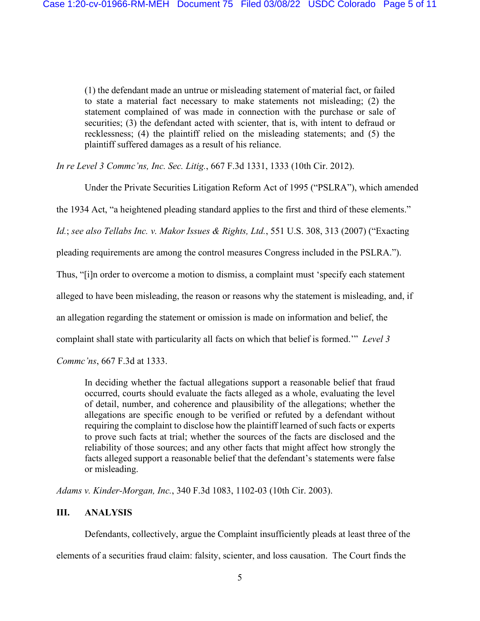(1) the defendant made an untrue or misleading statement of material fact, or failed to state a material fact necessary to make statements not misleading; (2) the statement complained of was made in connection with the purchase or sale of securities; (3) the defendant acted with scienter, that is, with intent to defraud or recklessness; (4) the plaintiff relied on the misleading statements; and (5) the plaintiff suffered damages as a result of his reliance.

*In re Level 3 Commc'ns, Inc. Sec. Litig.*, 667 F.3d 1331, 1333 (10th Cir. 2012).

Under the Private Securities Litigation Reform Act of 1995 ("PSLRA"), which amended

the 1934 Act, "a heightened pleading standard applies to the first and third of these elements."

*Id.*; *see also Tellabs Inc. v. Makor Issues & Rights, Ltd.*, 551 U.S. 308, 313 (2007) ("Exacting

pleading requirements are among the control measures Congress included in the PSLRA.").

Thus, "[i]n order to overcome a motion to dismiss, a complaint must 'specify each statement

alleged to have been misleading, the reason or reasons why the statement is misleading, and, if

an allegation regarding the statement or omission is made on information and belief, the

complaint shall state with particularity all facts on which that belief is formed.'" *Level 3* 

*Commc'ns*, 667 F.3d at 1333.

In deciding whether the factual allegations support a reasonable belief that fraud occurred, courts should evaluate the facts alleged as a whole, evaluating the level of detail, number, and coherence and plausibility of the allegations; whether the allegations are specific enough to be verified or refuted by a defendant without requiring the complaint to disclose how the plaintiff learned of such facts or experts to prove such facts at trial; whether the sources of the facts are disclosed and the reliability of those sources; and any other facts that might affect how strongly the facts alleged support a reasonable belief that the defendant's statements were false or misleading.

*Adams v. Kinder-Morgan, Inc.*, 340 F.3d 1083, 1102-03 (10th Cir. 2003).

## **III. ANALYSIS**

Defendants, collectively, argue the Complaint insufficiently pleads at least three of the

elements of a securities fraud claim: falsity, scienter, and loss causation. The Court finds the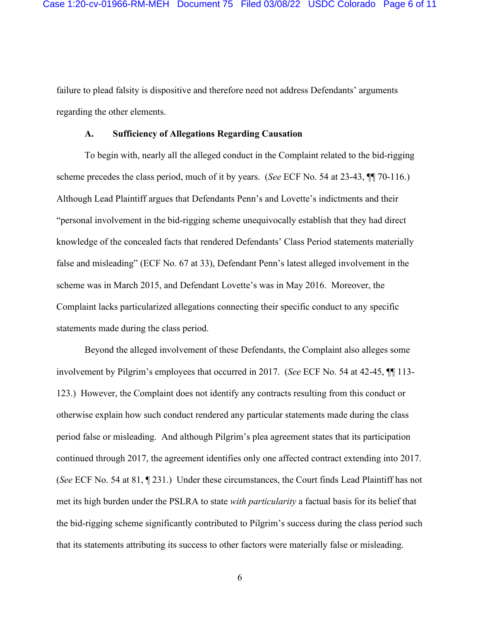failure to plead falsity is dispositive and therefore need not address Defendants' arguments regarding the other elements.

### **A. Sufficiency of Allegations Regarding Causation**

To begin with, nearly all the alleged conduct in the Complaint related to the bid-rigging scheme precedes the class period, much of it by years. (*See* ECF No. 54 at 23-43, ¶¶ 70-116.) Although Lead Plaintiff argues that Defendants Penn's and Lovette's indictments and their "personal involvement in the bid-rigging scheme unequivocally establish that they had direct knowledge of the concealed facts that rendered Defendants' Class Period statements materially false and misleading" (ECF No. 67 at 33), Defendant Penn's latest alleged involvement in the scheme was in March 2015, and Defendant Lovette's was in May 2016. Moreover, the Complaint lacks particularized allegations connecting their specific conduct to any specific statements made during the class period.

Beyond the alleged involvement of these Defendants, the Complaint also alleges some involvement by Pilgrim's employees that occurred in 2017. (*See* ECF No. 54 at 42-45, ¶¶ 113- 123.) However, the Complaint does not identify any contracts resulting from this conduct or otherwise explain how such conduct rendered any particular statements made during the class period false or misleading. And although Pilgrim's plea agreement states that its participation continued through 2017, the agreement identifies only one affected contract extending into 2017. (*See* ECF No. 54 at 81, ¶ 231.) Under these circumstances, the Court finds Lead Plaintiff has not met its high burden under the PSLRA to state *with particularity* a factual basis for its belief that the bid-rigging scheme significantly contributed to Pilgrim's success during the class period such that its statements attributing its success to other factors were materially false or misleading.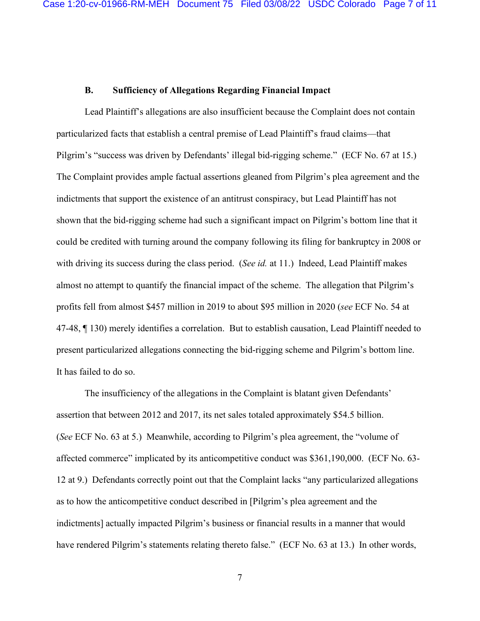### **B. Sufficiency of Allegations Regarding Financial Impact**

Lead Plaintiff's allegations are also insufficient because the Complaint does not contain particularized facts that establish a central premise of Lead Plaintiff's fraud claims—that Pilgrim's "success was driven by Defendants' illegal bid-rigging scheme." (ECF No. 67 at 15.) The Complaint provides ample factual assertions gleaned from Pilgrim's plea agreement and the indictments that support the existence of an antitrust conspiracy, but Lead Plaintiff has not shown that the bid-rigging scheme had such a significant impact on Pilgrim's bottom line that it could be credited with turning around the company following its filing for bankruptcy in 2008 or with driving its success during the class period. (*See id.* at 11.) Indeed, Lead Plaintiff makes almost no attempt to quantify the financial impact of the scheme. The allegation that Pilgrim's profits fell from almost \$457 million in 2019 to about \$95 million in 2020 (*see* ECF No. 54 at 47-48, ¶ 130) merely identifies a correlation. But to establish causation, Lead Plaintiff needed to present particularized allegations connecting the bid-rigging scheme and Pilgrim's bottom line. It has failed to do so.

The insufficiency of the allegations in the Complaint is blatant given Defendants' assertion that between 2012 and 2017, its net sales totaled approximately \$54.5 billion. (*See* ECF No. 63 at 5.) Meanwhile, according to Pilgrim's plea agreement, the "volume of affected commerce" implicated by its anticompetitive conduct was \$361,190,000. (ECF No. 63- 12 at 9.) Defendants correctly point out that the Complaint lacks "any particularized allegations as to how the anticompetitive conduct described in [Pilgrim's plea agreement and the indictments] actually impacted Pilgrim's business or financial results in a manner that would have rendered Pilgrim's statements relating thereto false." (ECF No. 63 at 13.) In other words,

7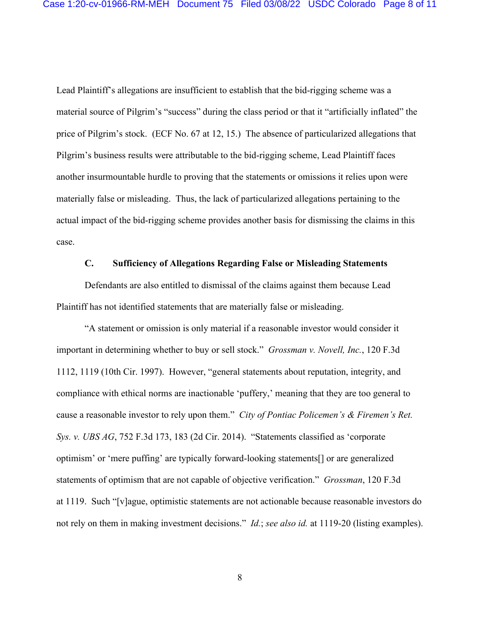Lead Plaintiff's allegations are insufficient to establish that the bid-rigging scheme was a material source of Pilgrim's "success" during the class period or that it "artificially inflated" the price of Pilgrim's stock. (ECF No. 67 at 12, 15.) The absence of particularized allegations that Pilgrim's business results were attributable to the bid-rigging scheme, Lead Plaintiff faces another insurmountable hurdle to proving that the statements or omissions it relies upon were materially false or misleading. Thus, the lack of particularized allegations pertaining to the actual impact of the bid-rigging scheme provides another basis for dismissing the claims in this case.

### **C. Sufficiency of Allegations Regarding False or Misleading Statements**

Defendants are also entitled to dismissal of the claims against them because Lead Plaintiff has not identified statements that are materially false or misleading.

"A statement or omission is only material if a reasonable investor would consider it important in determining whether to buy or sell stock." *Grossman v. Novell, Inc.*, 120 F.3d 1112, 1119 (10th Cir. 1997). However, "general statements about reputation, integrity, and compliance with ethical norms are inactionable 'puffery,' meaning that they are too general to cause a reasonable investor to rely upon them." *City of Pontiac Policemen's & Firemen's Ret. Sys. v. UBS AG*, 752 F.3d 173, 183 (2d Cir. 2014). "Statements classified as 'corporate optimism' or 'mere puffing' are typically forward-looking statements[] or are generalized statements of optimism that are not capable of objective verification." *Grossman*, 120 F.3d at 1119. Such "[v]ague, optimistic statements are not actionable because reasonable investors do not rely on them in making investment decisions." *Id.*; *see also id.* at 1119-20 (listing examples).

8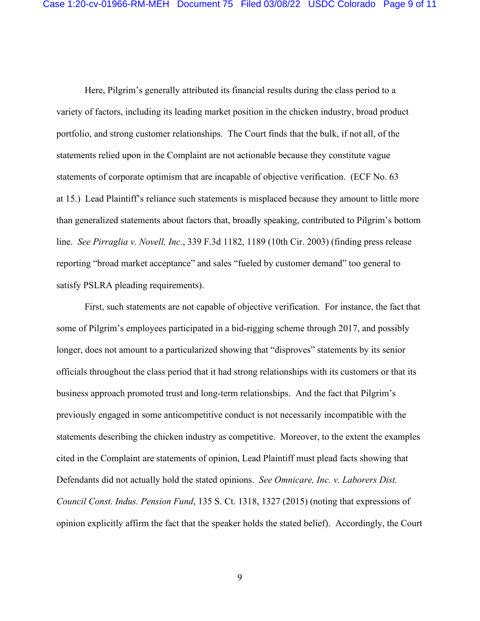Here, Pilgrim's generally attributed its financial results during the class period to a variety of factors, including its leading market position in the chicken industry, broad product portfolio, and strong customer relationships. The Court finds that the bulk, if not all, of the statements relied upon in the Complaint are not actionable because they constitute vague statements of corporate optimism that are incapable of objective verification. (ECF No. 63 at 15.) Lead Plaintiff's reliance such statements is misplaced because they amount to little more than generalized statements about factors that, broadly speaking, contributed to Pilgrim's bottom line. *See Pirraglia v. Novell, Inc.*, 339 F.3d 1182, 1189 (10th Cir. 2003) (finding press release reporting "broad market acceptance" and sales "fueled by customer demand" too general to satisfy PSLRA pleading requirements).

First, such statements are not capable of objective verification. For instance, the fact that some of Pilgrim's employees participated in a bid-rigging scheme through 2017, and possibly longer, does not amount to a particularized showing that "disproves" statements by its senior officials throughout the class period that it had strong relationships with its customers or that its business approach promoted trust and long-term relationships. And the fact that Pilgrim's previously engaged in some anticompetitive conduct is not necessarily incompatible with the statements describing the chicken industry as competitive. Moreover, to the extent the examples cited in the Complaint are statements of opinion, Lead Plaintiff must plead facts showing that Defendants did not actually hold the stated opinions. *See Omnicare, Inc. v. Laborers Dist. Council Const. Indus. Pension Fund*, 135 S. Ct. 1318, 1327 (2015) (noting that expressions of opinion explicitly affirm the fact that the speaker holds the stated belief). Accordingly, the Court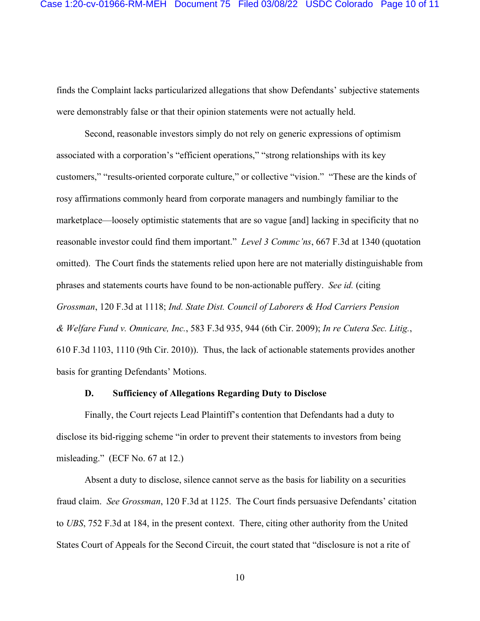finds the Complaint lacks particularized allegations that show Defendants' subjective statements were demonstrably false or that their opinion statements were not actually held.

Second, reasonable investors simply do not rely on generic expressions of optimism associated with a corporation's "efficient operations," "strong relationships with its key customers," "results-oriented corporate culture," or collective "vision." "These are the kinds of rosy affirmations commonly heard from corporate managers and numbingly familiar to the marketplace—loosely optimistic statements that are so vague [and] lacking in specificity that no reasonable investor could find them important." *Level 3 Commc'ns*, 667 F.3d at 1340 (quotation omitted). The Court finds the statements relied upon here are not materially distinguishable from phrases and statements courts have found to be non-actionable puffery. *See id.* (citing *Grossman*, 120 F.3d at 1118; *Ind. State Dist. Council of Laborers & Hod Carriers Pension & Welfare Fund v. Omnicare, Inc.*, 583 F.3d 935, 944 (6th Cir. 2009); *In re Cutera Sec. Litig.*, 610 F.3d 1103, 1110 (9th Cir. 2010)). Thus, the lack of actionable statements provides another basis for granting Defendants' Motions.

#### **D. Sufficiency of Allegations Regarding Duty to Disclose**

Finally, the Court rejects Lead Plaintiff's contention that Defendants had a duty to disclose its bid-rigging scheme "in order to prevent their statements to investors from being misleading." (ECF No. 67 at 12.)

Absent a duty to disclose, silence cannot serve as the basis for liability on a securities fraud claim. *See Grossman*, 120 F.3d at 1125. The Court finds persuasive Defendants' citation to *UBS*, 752 F.3d at 184, in the present context. There, citing other authority from the United States Court of Appeals for the Second Circuit, the court stated that "disclosure is not a rite of